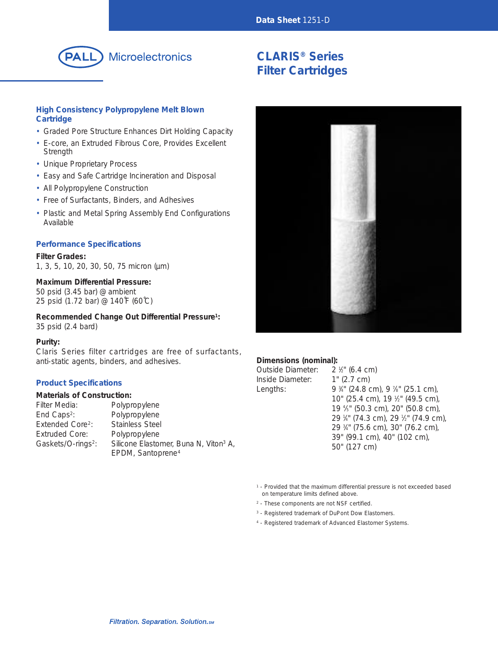

# Microelectronics

# **CLARIS® Series Filter Cartridges**

## **High Consistency Polypropylene Melt Blown Cartridge**

- Graded Pore Structure Enhances Dirt Holding Capacity
- E-core, an Extruded Fibrous Core, Provides Excellent **Strength**
- Unique Proprietary Process
- Easy and Safe Cartridge Incineration and Disposal
- All Polypropylene Construction
- Free of Surfactants, Binders, and Adhesives
- Plastic and Metal Spring Assembly End Configurations Available

### **Performance Specifications**

**Filter Grades:** 1, 3, 5, 10, 20, 30, 50, 75 micron (µm)

### **Maximum Differential Pressure:**

50 psid (3.45 bar) @ ambient 25 psid (1.72 bar) @ 140˚F (60˚C)

**Recommended Change Out Differential Pressure1:** 35 psid (2.4 bard)

#### **Purity:**

Claris Series filter cartridges are free of surfactants, anti-static agents, binders, and adhesives.

#### **Product Specifications**

#### **Materials of Construction:**

| Filter Media:                  | Polypropylene                                     |
|--------------------------------|---------------------------------------------------|
| End Caps <sup>2</sup> :        | Polypropylene                                     |
| Extended Core <sup>2</sup> :   | Stainless Steel                                   |
| Extruded Core:                 | Polypropylene                                     |
| Gaskets/O-rings <sup>2</sup> : | Silicone Elastomer, Buna N, Viton <sup>3</sup> A, |
|                                | EPDM, Santoprene <sup>4</sup>                     |



### **Dimensions (nominal):**

| Outside Diameter: | $2 \frac{1}{2}$ (6.4 cm)                                   |
|-------------------|------------------------------------------------------------|
| Inside Diameter:  | 1" (2.7 cm)                                                |
| Lengths:          | 9 $\frac{3}{4}$ " (24.8 cm), 9 $\frac{7}{8}$ " (25.1 cm),  |
|                   | 10" (25.4 cm), 19 1/2" (49.5 cm),                          |
|                   | 19 <sup>4</sup> / <sub>5</sub> " (50.3 cm), 20" (50.8 cm), |
|                   | 29 1/4" (74.3 cm), 29 1/2" (74.9 cm                        |
|                   | 29 3/4" (75.6 cm), 30" (76.2 cm),                          |
|                   | 39" (99.1 cm), 40" (102 cm),                               |
|                   | 50" (127 cm)                                               |

<sup>1</sup> - Provided that the maximum differential pressure is not exceeded based on temperature limits defined above.

 $\frac{1}{2}$ " (74.9 cm),

- <sup>2</sup> These components are not NSF certified.
- <sup>3</sup> Registered trademark of DuPont Dow Elastomers.
- <sup>4</sup> Registered trademark of Advanced Elastomer Systems.